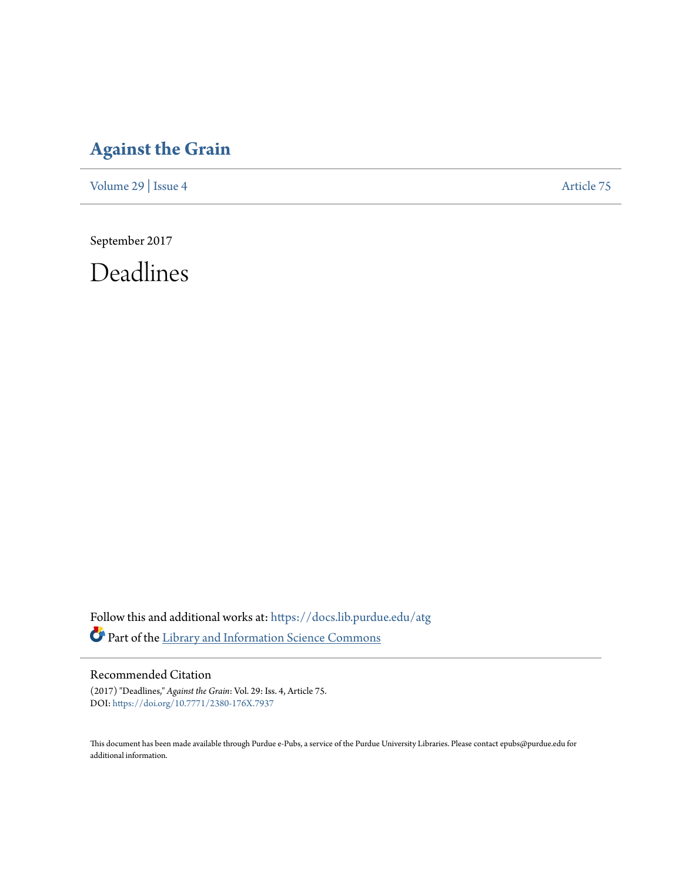## **[Against the Grain](https://docs.lib.purdue.edu/atg?utm_source=docs.lib.purdue.edu%2Fatg%2Fvol29%2Fiss4%2F75&utm_medium=PDF&utm_campaign=PDFCoverPages)**

[Volume 29](https://docs.lib.purdue.edu/atg/vol29?utm_source=docs.lib.purdue.edu%2Fatg%2Fvol29%2Fiss4%2F75&utm_medium=PDF&utm_campaign=PDFCoverPages) | [Issue 4](https://docs.lib.purdue.edu/atg/vol29/iss4?utm_source=docs.lib.purdue.edu%2Fatg%2Fvol29%2Fiss4%2F75&utm_medium=PDF&utm_campaign=PDFCoverPages) [Article 75](https://docs.lib.purdue.edu/atg/vol29/iss4/75?utm_source=docs.lib.purdue.edu%2Fatg%2Fvol29%2Fiss4%2F75&utm_medium=PDF&utm_campaign=PDFCoverPages)

September 2017

Deadlines

Follow this and additional works at: [https://docs.lib.purdue.edu/atg](https://docs.lib.purdue.edu/atg?utm_source=docs.lib.purdue.edu%2Fatg%2Fvol29%2Fiss4%2F75&utm_medium=PDF&utm_campaign=PDFCoverPages) Part of the [Library and Information Science Commons](http://network.bepress.com/hgg/discipline/1018?utm_source=docs.lib.purdue.edu%2Fatg%2Fvol29%2Fiss4%2F75&utm_medium=PDF&utm_campaign=PDFCoverPages)

### Recommended Citation

(2017) "Deadlines," *Against the Grain*: Vol. 29: Iss. 4, Article 75. DOI: <https://doi.org/10.7771/2380-176X.7937>

This document has been made available through Purdue e-Pubs, a service of the Purdue University Libraries. Please contact epubs@purdue.edu for additional information.